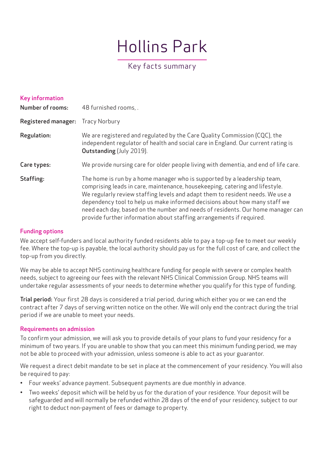# Hollins Park

# Key facts summary

| <b>Key information</b>     |                                                                                                                                                                                                                                                                                                                                                                                                                                                                                     |
|----------------------------|-------------------------------------------------------------------------------------------------------------------------------------------------------------------------------------------------------------------------------------------------------------------------------------------------------------------------------------------------------------------------------------------------------------------------------------------------------------------------------------|
| <b>Number of rooms:</b>    | 48 furnished rooms, .                                                                                                                                                                                                                                                                                                                                                                                                                                                               |
| <b>Registered manager:</b> | <b>Tracy Norbury</b>                                                                                                                                                                                                                                                                                                                                                                                                                                                                |
| Regulation:                | We are registered and regulated by the Care Quality Commission (CQC), the<br>independent regulator of health and social care in England. Our current rating is<br>Outstanding (July 2019).                                                                                                                                                                                                                                                                                          |
| Care types:                | We provide nursing care for older people living with dementia, and end of life care.                                                                                                                                                                                                                                                                                                                                                                                                |
| Staffing:                  | The home is run by a home manager who is supported by a leadership team,<br>comprising leads in care, maintenance, housekeeping, catering and lifestyle.<br>We regularly review staffing levels and adapt them to resident needs. We use a<br>dependency tool to help us make informed decisions about how many staff we<br>need each day, based on the number and needs of residents. Our home manager can<br>provide further information about staffing arrangements if required. |

# Funding options

We accept self-funders and local authority funded residents able to pay a top-up fee to meet our weekly fee. Where the top-up is payable, the local authority should pay us for the full cost of care, and collect the top-up from you directly.

We may be able to accept NHS continuing healthcare funding for people with severe or complex health needs, subject to agreeing our fees with the relevant NHS Clinical Commission Group. NHS teams will undertake regular assessments of your needs to determine whether you qualify for this type of funding.

Trial period: Your first 28 days is considered a trial period, during which either you or we can end the contract after 7 days of serving written notice on the other. We will only end the contract during the trial period if we are unable to meet your needs.

#### Requirements on admission

To confirm your admission, we will ask you to provide details of your plans to fund your residency for a minimum of two years. If you are unable to show that you can meet this minimum funding period, we may not be able to proceed with your admission, unless someone is able to act as your guarantor.

We request a direct debit mandate to be set in place at the commencement of your residency. You will also be required to pay:

- Four weeks' advance payment. Subsequent payments are due monthly in advance.
- Two weeks' deposit which will be held by us for the duration of your residence. Your deposit will be safeguarded and will normally be refunded within 28 days of the end of your residency, subject to our right to deduct non-payment of fees or damage to property.